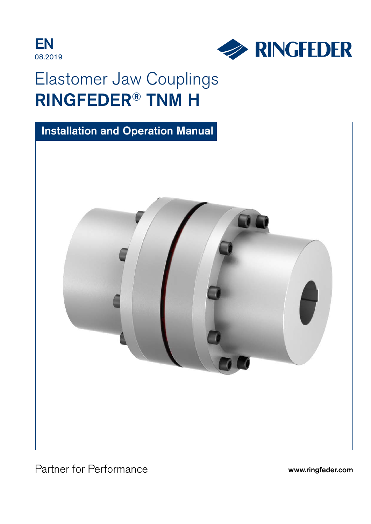



# Elastomer Jaw Couplings RINGFEDER® TNM H



Partner for Performance www.ringfeder.com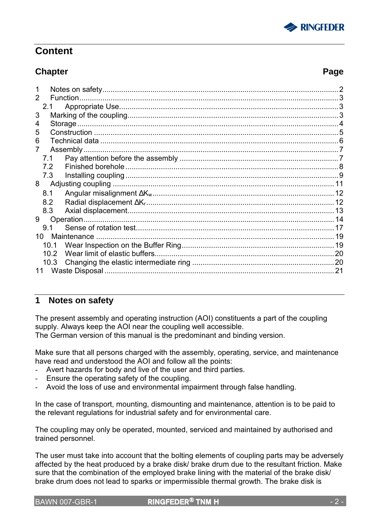

### **Content**

### **Chapter Page**

|                 | $\overline{\phantom{a}}$ |
|-----------------|--------------------------|
| Function.<br>2  |                          |
| 2.1             |                          |
| 3               |                          |
|                 |                          |
| 5               |                          |
| 6               |                          |
| Assembly        |                          |
| 7.1             |                          |
| 7.2             |                          |
| 7.3             |                          |
| 8               |                          |
| 8.1             |                          |
| 8.2             |                          |
| 8.3             |                          |
| Operation.<br>9 |                          |
| 9.1             |                          |
| 10.             |                          |
| 10.1            |                          |
| 10.2            |                          |
| 10.3            |                          |
| 11              |                          |

### **1 Notes on safety**

The present assembly and operating instruction (AOI) constituents a part of the coupling supply. Always keep the AOI near the coupling well accessible. The German version of this manual is the predominant and binding version.

Make sure that all persons charged with the assembly, operating, service, and maintenance have read and understood the AOI and follow all the points:

- Avert hazards for body and live of the user and third parties.
- Ensure the operating safety of the coupling.
- Avoid the loss of use and environmental impairment through false handling.

In the case of transport, mounting, dismounting and maintenance, attention is to be paid to the relevant regulations for industrial safety and for environmental care.

The coupling may only be operated, mounted, serviced and maintained by authorised and trained personnel.

The user must take into account that the bolting elements of coupling parts may be adversely affected by the heat produced by a brake disk/ brake drum due to the resultant friction. Make sure that the combination of the employed brake lining with the material of the brake disk/ brake drum does not lead to sparks or impermissible thermal growth. The brake disk is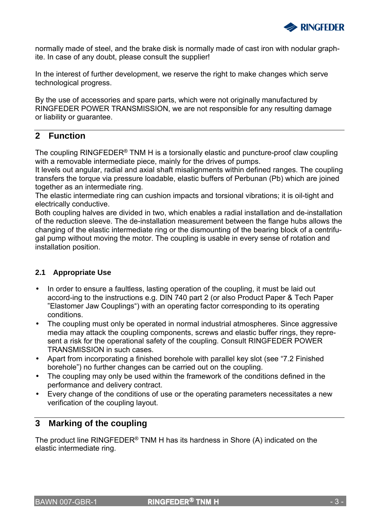

normally made of steel, and the brake disk is normally made of cast iron with nodular graphite. In case of any doubt, please consult the supplier!

In the interest of further development, we reserve the right to make changes which serve technological progress.

By the use of accessories and spare parts, which were not originally manufactured by RINGFEDER POWER TRANSMISSION, we are not responsible for any resulting damage or liability or guarantee.

### **2 Function**

The coupling RINGFEDER® TNM H is a torsionally elastic and puncture-proof claw coupling with a removable intermediate piece, mainly for the drives of pumps.

It levels out angular, radial and axial shaft misalignments within defined ranges. The coupling transfers the torque via pressure loadable, elastic buffers of Perbunan (Pb) which are joined together as an intermediate ring.

The elastic intermediate ring can cushion impacts and torsional vibrations; it is oil-tight and electrically conductive.

Both coupling halves are divided in two, which enables a radial installation and de-installation of the reduction sleeve. The de-installation measurement between the flange hubs allows the changing of the elastic intermediate ring or the dismounting of the bearing block of a centrifugal pump without moving the motor. The coupling is usable in every sense of rotation and installation position.

### **2.1 Appropriate Use**

- In order to ensure a faultless, lasting operation of the coupling, it must be laid out accord-ing to the instructions e.g. DIN 740 part 2 (or also Product Paper & Tech Paper "Elastomer Jaw Couplings") with an operating factor corresponding to its operating conditions.
- The coupling must only be operated in normal industrial atmospheres. Since aggressive media may attack the coupling components, screws and elastic buffer rings, they represent a risk for the operational safety of the coupling. Consult RINGFEDER POWER TRANSMISSION in such cases.
- Apart from incorporating a finished borehole with parallel key slot (see "7.2 Finished borehole") no further changes can be carried out on the coupling.
- The coupling may only be used within the framework of the conditions defined in the performance and delivery contract.
- Every change of the conditions of use or the operating parameters necessitates a new verification of the coupling layout.

### **3 Marking of the coupling**

The product line RINGFEDER® TNM H has its hardness in Shore (A) indicated on the elastic intermediate ring.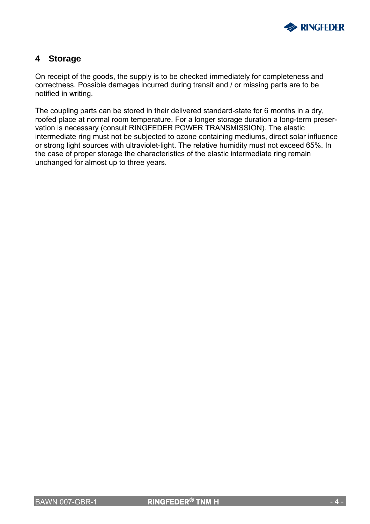

### **4 Storage**

On receipt of the goods, the supply is to be checked immediately for completeness and correctness. Possible damages incurred during transit and / or missing parts are to be notified in writing.

The coupling parts can be stored in their delivered standard-state for 6 months in a dry, roofed place at normal room temperature. For a longer storage duration a long-term preservation is necessary (consult RINGFEDER POWER TRANSMISSION). The elastic intermediate ring must not be subjected to ozone containing mediums, direct solar influence or strong light sources with ultraviolet-light. The relative humidity must not exceed 65%. In the case of proper storage the characteristics of the elastic intermediate ring remain unchanged for almost up to three years.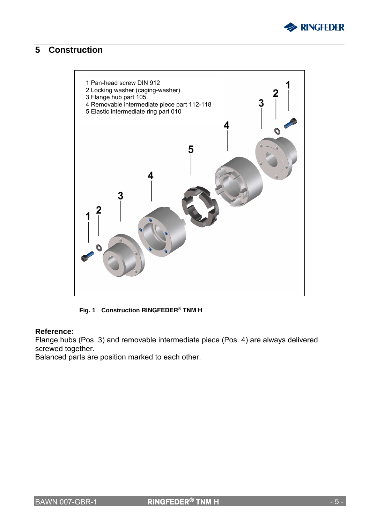

### **5 Construction**



**Fig. 1 Construction RINGFEDER® TNM H**

#### **Reference:**

Flange hubs (Pos. 3) and removable intermediate piece (Pos. 4) are always delivered screwed together.

Balanced parts are position marked to each other.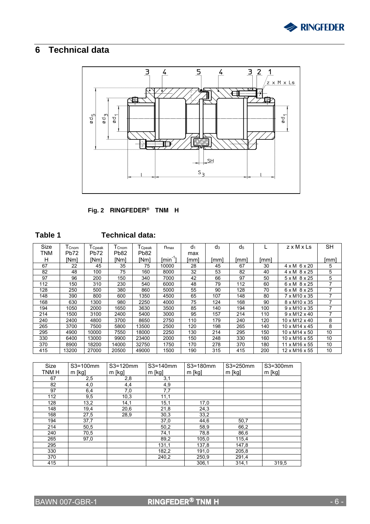

## **6 Technical data**



**Fig. 2 RINGFEDER® TNM H**

| l<br>٠ |  |
|--------|--|
|--------|--|

### **Technical data:**

| Size | $T_{\text{Cnom}}$ | ${\mathsf T}_{\mathsf{Cpeak}}$ | $T_{\mathsf{Cnom}}$ | $\mathsf{T}_{\mathsf{Cpeak}}$ | $n_{\text{max}}$ | $d_1$ | $d_3$ | d <sub>5</sub> |      | $z \times M \times Ls$     | <b>SH</b> |
|------|-------------------|--------------------------------|---------------------|-------------------------------|------------------|-------|-------|----------------|------|----------------------------|-----------|
| TNM  | Pb72              | Pb72                           | Pb82                | Pb82                          |                  | max   |       |                |      |                            |           |
| н    | [Nm]              | [Nm]                           | [Nm]                | [Nm]                          | [min]            | [mm]  | [mm]  | [mm]           | [mm] |                            | [mm]      |
| 67   | 22                | 45                             | 35                  | 75                            | 10000            | 28    | 45    | 67             | 30   | $4 \times M$ 6 $\times$ 20 | 5         |
| 82   | 48                | 100                            | 75                  | 160                           | 8000             | 32    | 53    | 82             | 40   | $4 \times M$ 8 $\times$ 25 | 5         |
| 97   | 96                | 200                            | 150                 | 340                           | 7000             | 42    | 66    | 97             | 50   | $5 \times M$ 8 $\times$ 25 | 5         |
| 112  | 150               | 310                            | 230                 | 540                           | 6000             | 48    | 79    | 112            | 60   | $6 \times M$ $8 \times 25$ |           |
| 128  | 250               | 500                            | 380                 | 860                           | 5000             | 55    | 90    | 128            | 70   | $6 \times M$ $8 \times 25$ |           |
| 148  | 390               | 800                            | 600                 | 1350                          | 4500             | 65    | 107   | 148            | 80   | 7 x M10 x 35               |           |
| 168  | 630               | 1300                           | 980                 | 2250                          | 4000             | 75    | 124   | 168            | 90   | 8 x M10 x 35               |           |
| 194  | 1050              | 2000                           | 1650                | 3630                          | 3500             | 85    | 140   | 194            | 100  | $9 \times M10 \times 35$   |           |
| 214  | 1500              | 3100                           | 2400                | 5400                          | 3000             | 95    | 157   | 214            | 110  | $9 \times M12 \times 40$   |           |
| 240  | 2400              | 4800                           | 3700                | 8650                          | 2750             | 110   | 179   | 240            | 120  | 10 x M12 x 40              | 8         |
| 265  | 3700              | 7500                           | 5800                | 13500                         | 2500             | 120   | 198   | 265            | 140  | 10 x M14 x 45              | 8         |
| 295  | 4900              | 10000                          | 7550                | 18000                         | 2250             | 130   | 214   | 295            | 150  | 10 x M14 x 50              | 10        |
| 330  | 6400              | 13000                          | 9900                | 23400                         | 2000             | 150   | 248   | 330            | 160  | 10 x M16 x 55              | 10        |
| 370  | 8900              | 18200                          | 14000               | 32750                         | 1750             | 170   | 278   | 370            | 180  | 11 x M16 x 55              | 10        |
| 415  | 13200             | 27000                          | 20500               | 49000                         | 1500             | 190   | 315   | 415            | 200  | 12 x M16 x 55              | 10        |

| Size  | S3=100mm | S3=120mm | $S3=140$ mm      | S3=180mm | S3=250mm | S3=300mm |
|-------|----------|----------|------------------|----------|----------|----------|
| TNM H | $m$ [kg] | $m$ [kg] | $m$ [kg]         | $m$ [kg] | $m$ [kg] | $m$ [kg] |
| 67    | 2,5      | 2,8      | 3,1              |          |          |          |
| 82    | 4,0      | 4,4      | 4,9              |          |          |          |
| 97    | 6,4      | 7,0      | $7,\overline{7}$ |          |          |          |
| 112   | 9,5      | 10,3     | 11,1             |          |          |          |
| 128   | 13,2     | 14,1     | 15,1             | 17,0     |          |          |
| 148   | 19,4     | 20,6     | 21,8             | 24,3     |          |          |
| 168   | 27,5     | 28,9     | 30,3             | 33,2     |          |          |
| 194   | 37,7     |          | 37,0             | 44,6     | 50,7     |          |
| 214   | 50,5     |          | 50,2             | 58,9     | 66,2     |          |
| 240   | 70,5     |          | 74,1             | 78,8     | 86,6     |          |
| 265   | 97,0     |          | 89,2             | 105,0    | 115,4    |          |
| 295   |          |          | 131,1            | 137,8    | 147,8    |          |
| 330   |          |          | 182,2            | 191,0    | 205,8    |          |
| 370   |          |          | 240,2            | 250,9    | 291,4    |          |
| 415   |          |          |                  | 306,1    | 314,1    | 319.5    |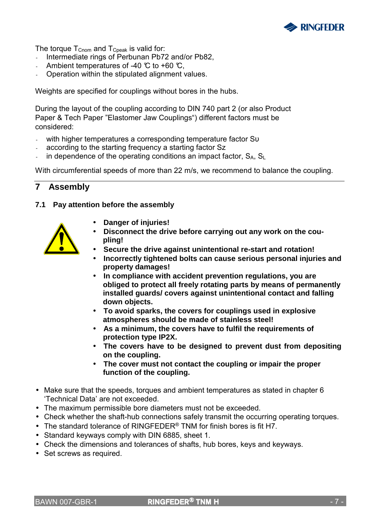

The torque  $T_{\text{Cnom}}$  and  $T_{\text{Cpeak}}$  is valid for:

- Intermediate rings of Perbunan Pb72 and/or Pb82,
- Ambient temperatures of -40  $\degree$  to +60  $\degree$ C.
- Operation within the stipulated alignment values.

Weights are specified for couplings without bores in the hubs.

During the layout of the coupling according to DIN 740 part 2 (or also Product Paper & Tech Paper "Elastomer Jaw Couplings") different factors must be considered:

- with higher temperatures a corresponding temperature factor Sυ
- according to the starting frequency a starting factor Sz
- in dependence of the operating conditions an impact factor,  $S_A$ ,  $S_L$

With circumferential speeds of more than 22 m/s, we recommend to balance the coupling.

### **7 Assembly**

#### **7.1 Pay attention before the assembly**



- **Danger of injuries!**
- **Disconnect the drive before carrying out any work on the coupling!**
- **Secure the drive against unintentional re-start and rotation!**
- **Incorrectly tightened bolts can cause serious personal injuries and property damages!**
- **In compliance with accident prevention regulations, you are obliged to protect all freely rotating parts by means of permanently installed guards/ covers against unintentional contact and falling down objects.**
- **To avoid sparks, the covers for couplings used in explosive atmospheres should be made of stainless steel!**
- **As a minimum, the covers have to fulfil the requirements of protection type IP2X.**
- **The covers have to be designed to prevent dust from depositing on the coupling.**
- **The cover must not contact the coupling or impair the proper function of the coupling.**
- Make sure that the speeds, torques and ambient temperatures as stated in chapter 6 'Technical Data' are not exceeded.
- The maximum permissible bore diameters must not be exceeded.
- Check whether the shaft-hub connections safely transmit the occurring operating torques.
- The standard tolerance of RINGFEDER<sup>®</sup> TNM for finish bores is fit H7.
- Standard keyways comply with DIN 6885, sheet 1.
- Check the dimensions and tolerances of shafts, hub bores, keys and keyways.
- Set screws as required.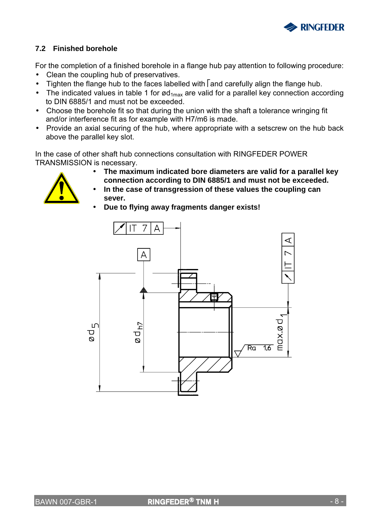

### **7.2 Finished borehole**

For the completion of a finished borehole in a flange hub pay attention to following procedure:

- Clean the coupling hub of preservatives.
- Tighten the flange hub to the faces labelled with  $\sqrt{\frac{1}{2}}$  and carefully align the flange hub.
- The indicated values in table 1 for  $\alpha_{1\text{max}}$  are valid for a parallel key connection according to DIN 6885/1 and must not be exceeded.
- Choose the borehole fit so that during the union with the shaft a tolerance wringing fit and/or interference fit as for example with H7/m6 is made.
- Provide an axial securing of the hub, where appropriate with a setscrew on the hub back above the parallel key slot.

In the case of other shaft hub connections consultation with RINGFEDER POWER TRANSMISSION is necessary.



- **The maximum indicated bore diameters are valid for a parallel key connection according to DIN 6885/1 and must not be exceeded.**
- **In the case of transgression of these values the coupling can sever.**
- **Due to flying away fragments danger exists!**

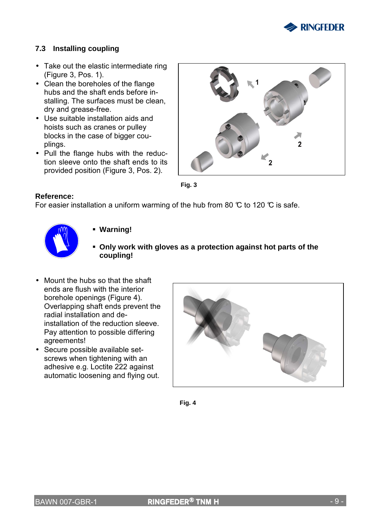

#### **7.3 Installing coupling**

- Take out the elastic intermediate ring (Figure 3, Pos. 1).
- Clean the boreholes of the flange hubs and the shaft ends before installing. The surfaces must be clean, dry and grease-free.
- Use suitable installation aids and hoists such as cranes or pulley blocks in the case of bigger couplings.
- Pull the flange hubs with the reduction sleeve onto the shaft ends to its provided position (Figure 3, Pos. 2).





#### **Reference:**

For easier installation a uniform warming of the hub from 80  $\degree$  to 120  $\degree$  is safe.



#### **Warning!**

- **Only work with gloves as a protection against hot parts of the coupling!**
- Mount the hubs so that the shaft ends are flush with the interior borehole openings (Figure 4). Overlapping shaft ends prevent the radial installation and deinstallation of the reduction sleeve. Pay attention to possible differing agreements!
- Secure possible available setscrews when tightening with an adhesive e.g. Loctite 222 against automatic loosening and flying out.



**Fig. 4**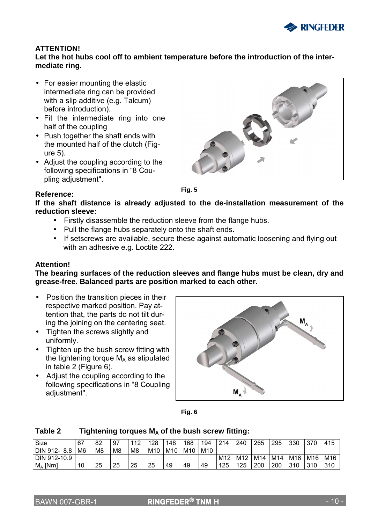

#### **ATTENTION!**

#### **Let the hot hubs cool off to ambient temperature before the introduction of the intermediate ring.**

- For easier mounting the elastic intermediate ring can be provided with a slip additive (e.g. Talcum) before introduction).
- Fit the intermediate ring into one half of the coupling
- Push together the shaft ends with the mounted half of the clutch (Figure 5).
- Adjust the coupling according to the following specifications in "8 Coupling adjustment".





**Fig. 5** 

**If the shaft distance is already adjusted to the de-installation measurement of the reduction sleeve:** 

- Firstly disassemble the reduction sleeve from the flange hubs.
- Pull the flange hubs separately onto the shaft ends.
- If setscrews are available, secure these against automatic loosening and flying out with an adhesive e.g. Loctite 222.

#### **Attention!**

**The bearing surfaces of the reduction sleeves and flange hubs must be clean, dry and grease-free. Balanced parts are position marked to each other.**

- Position the transition pieces in their respective marked position. Pay attention that, the parts do not tilt during the joining on the centering seat.
- Tighten the screws slightly and uniformly.
- Tighten up the bush screw fitting with the tightening torque  $M_A$  as stipulated in table 2 (Figure 6).
- Adjust the coupling according to the following specifications in "8 Coupling adjustment".





#### Table 2 Tightening torques M<sub>A</sub> of the bush screw fitting:

| Size         | 67             | -82            | 97             | 112<br>∼ | 128 | 148 | 168 | 194 | 214 | 240 | 265 | 295 | 330 | 370 | 415 |
|--------------|----------------|----------------|----------------|----------|-----|-----|-----|-----|-----|-----|-----|-----|-----|-----|-----|
| DIN 912-8.8  | M <sub>6</sub> | M <sub>8</sub> | M <sub>8</sub> | M8       | M10 | M10 | M10 | M10 |     |     |     |     |     |     |     |
| DIN 912-10.9 |                |                |                |          |     |     |     |     | M12 | M12 | M14 | M14 | M16 | M16 | M16 |
| $M_A$ [Nm]   | 10             | 25             | 25             | 25       | 25  | 49  | 49  | 49  | 125 | 125 | 200 | 200 | 310 | 310 | 310 |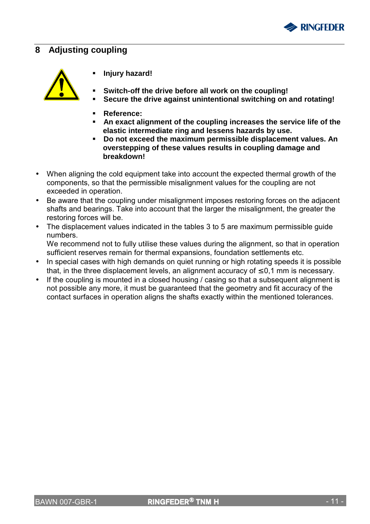

### **8 Adjusting coupling**



- **Injury hazard!**
- **Switch-off the drive before all work on the coupling!**
- **Secure the drive against unintentional switching on and rotating!**
- **Reference:**
- **An exact alignment of the coupling increases the service life of the elastic intermediate ring and lessens hazards by use.**
- **Do not exceed the maximum permissible displacement values. An overstepping of these values results in coupling damage and breakdown!**
- When aligning the cold equipment take into account the expected thermal growth of the components, so that the permissible misalignment values for the coupling are not exceeded in operation.
- Be aware that the coupling under misalignment imposes restoring forces on the adjacent shafts and bearings. Take into account that the larger the misalignment, the greater the restoring forces will be.
- The displacement values indicated in the tables 3 to 5 are maximum permissible guide numbers.

We recommend not to fully utilise these values during the alignment, so that in operation sufficient reserves remain for thermal expansions, foundation settlements etc.

- In special cases with high demands on quiet running or high rotating speeds it is possible that, in the three displacement levels, an alignment accuracy of  $\leq 0.1$  mm is necessary.
- If the coupling is mounted in a closed housing / casing so that a subsequent alignment is not possible any more, it must be guaranteed that the geometry and fit accuracy of the contact surfaces in operation aligns the shafts exactly within the mentioned tolerances.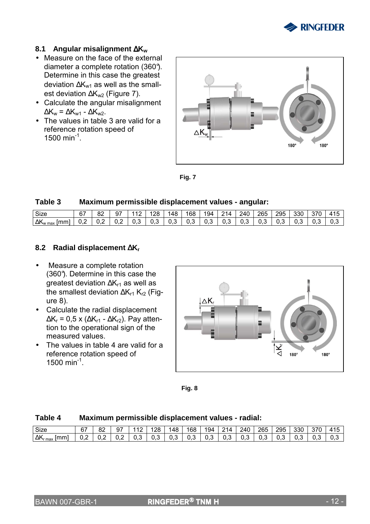

#### **8.1 Angular misalignment** ∆**K<sup>w</sup>**

- Measure on the face of the external diameter a complete rotation (360°). Determine in this case the greatest deviation  $\Delta K_{w1}$  as well as the smallest deviation ∆K<sub>w2</sub> (Figure 7).
- Calculate the angular misalignment  $\Delta K_w = \Delta K_{w1} - \Delta K_{w2}$ .
- The values in table 3 are valid for a reference rotation speed of 1500 min<sup>-1</sup>.



**Fig. 7** 

#### **Table 3 Maximum permissible displacement values - angular:**

| Size                              | 67<br>o. | იი<br>٥z | а7  | ้ 12 | 28  | 148 | 168 | 194 | 214 | 240  | 265 | 295 | 330 | 370 | 41F |
|-----------------------------------|----------|----------|-----|------|-----|-----|-----|-----|-----|------|-----|-----|-----|-----|-----|
| $\Delta K_{\text{w max}}$<br>lmml | 0.2      | U.Z      | ◡.▵ | 0.3  | U.J | U.J | 0.3 | J.3 | U.O | .ს ა | U.S | v.v | U.J | U.3 | v.v |

#### **8.2 Radial displacement** ∆**K<sup>r</sup>**

- Measure a complete rotation (360°). Determine in this case the greatest deviation ∆K<sub>r1</sub> as well as the smallest deviation  $\Delta K_{r1} K_{r2}$  (Figure 8).
- Calculate the radial displacement  $\Delta K_r$  = 0,5 x ( $\Delta K_{r1}$  -  $\Delta K_{r2}$ ). Pay attention to the operational sign of the measured values.
- The values in table 4 are valid for a reference rotation speed of 1500 min<sup>-1</sup>.



**Fig. 8** 

#### **Table 4 Maximum permissible displacement values - radial:**

| <b>.</b><br>Size    | ~-<br>Ο1 | 82  | 97  | $\overline{11}$ | 28  | 148 | 168 | 194 | 214 | 240 | 265 | 295 | 330 | 270<br>، ب | 415<br>. . |
|---------------------|----------|-----|-----|-----------------|-----|-----|-----|-----|-----|-----|-----|-----|-----|------------|------------|
| ΔK<br>Imm.<br>r max | v.z      | U.Z | ∪.∠ | ن.∪             | v.J | U.3 | ∪.∪ | υ.ა | U.3 | v.v | v.J | ∪.∪ | U.3 | ∪.∪        | v.v        |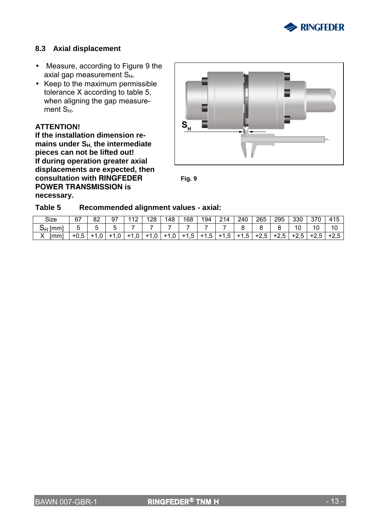

#### **8.3 Axial displacement**

- Measure, according to Figure 9 the axial gap measurement  $S_H$ .
- Keep to the maximum permissible tolerance X according to table 5, when aligning the gap measurement  $S_{H}$ .

#### **ATTENTION!**

**If the installation dimension remains under SH, the intermediate pieces can not be lifted out! If during operation greater axial displacements are expected, then consultation with RINGFEDER POWER TRANSMISSION is necessary.** 





#### **Table 5 Recommended alignment values - axial:**

| Size      | 67     | 82                 | 97         | 112  | 128    | 148    | 168    | 194    | 214    | 240    | 265    | 295    | 330    | 370    | 415    |
|-----------|--------|--------------------|------------|------|--------|--------|--------|--------|--------|--------|--------|--------|--------|--------|--------|
| $S_H$  mm |        |                    |            |      |        |        |        |        |        |        |        |        |        | 10     | 10     |
| [mm]      | $+0,5$ | $\cdot$ ,0<br>$+1$ | 0,<br>$+1$ | -1,0 | $+1,0$ | $+1,0$ | $+1,5$ | $+1,5$ | $+1,5$ | $+1,5$ | $+2,5$ | $+2,5$ | $+2,5$ | $+2,5$ | $+2,5$ |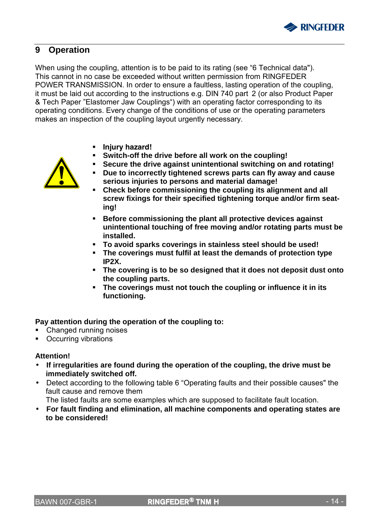

### **9 Operation**

When using the coupling, attention is to be paid to its rating (see "6 Technical data"). This cannot in no case be exceeded without written permission from RINGFEDER POWER TRANSMISSION. In order to ensure a faultless, lasting operation of the coupling, it must be laid out according to the instructions e.g. DIN 740 part 2 (or also Product Paper & Tech Paper "Elastomer Jaw Couplings") with an operating factor corresponding to its operating conditions. Every change of the conditions of use or the operating parameters makes an inspection of the coupling layout urgently necessary.

- **Injury hazard!**
- **Switch-off the drive before all work on the coupling!**
- **Secure the drive against unintentional switching on and rotating!**
- - **Due to incorrectly tightened screws parts can fly away and cause serious injuries to persons and material damage!**
	- **Check before commissioning the coupling its alignment and all screw fixings for their specified tightening torque and/or firm seating!**
	- **Before commissioning the plant all protective devices against unintentional touching of free moving and/or rotating parts must be installed.**
	- **To avoid sparks coverings in stainless steel should be used!**
	- **The coverings must fulfil at least the demands of protection type IP2X.**
	- **The covering is to be so designed that it does not deposit dust onto the coupling parts.**
	- **The coverings must not touch the coupling or influence it in its functioning.**

#### **Pay attention during the operation of the coupling to:**

- Changed running noises
- Occurring vibrations

#### **Attention!**

- **If irregularities are found during the operation of the coupling, the drive must be immediately switched off.**
- Detect according to the following table 6 "Operating faults and their possible causes" the fault cause and remove them

The listed faults are some examples which are supposed to facilitate fault location.

• **For fault finding and elimination, all machine components and operating states are to be considered!**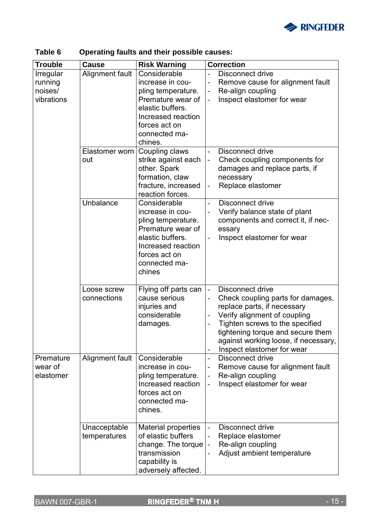

| <b>Trouble</b>                                | <b>Cause</b>                 | <b>Risk Warning</b>                                                                                                                                                | <b>Correction</b>                                                                                                                                                                                                                                                                              |
|-----------------------------------------------|------------------------------|--------------------------------------------------------------------------------------------------------------------------------------------------------------------|------------------------------------------------------------------------------------------------------------------------------------------------------------------------------------------------------------------------------------------------------------------------------------------------|
| Irregular<br>running<br>noises/<br>vibrations | Alignment fault              | Considerable<br>increase in cou-<br>pling temperature.<br>Premature wear of<br>elastic buffers.<br>Increased reaction<br>forces act on<br>connected ma-<br>chines. | Disconnect drive<br>Remove cause for alignment fault<br>Re-align coupling<br>Inspect elastomer for wear                                                                                                                                                                                        |
|                                               | Elastomer worn<br>out        | Coupling claws<br>strike against each<br>other. Spark<br>formation, claw<br>fracture, increased<br>reaction forces.                                                | Disconnect drive<br>$\overline{a}$<br>Check coupling components for<br>$\overline{\phantom{0}}$<br>damages and replace parts, if<br>necessary<br>Replace elastomer                                                                                                                             |
|                                               | Unbalance                    | Considerable<br>increase in cou-<br>pling temperature.<br>Premature wear of<br>elastic buffers.<br>Increased reaction<br>forces act on<br>connected ma-<br>chines  | <b>Disconnect drive</b><br>Verify balance state of plant<br>components and correct it, if nec-<br>essary<br>Inspect elastomer for wear                                                                                                                                                         |
|                                               | Loose screw<br>connections   | Flying off parts can<br>cause serious<br>injuries and<br>considerable<br>damages.                                                                                  | Disconnect drive<br>$\overline{\phantom{m}}$<br>Check coupling parts for damages,<br>replace parts, if necessary<br>Verify alignment of coupling<br>Tighten screws to the specified<br>tightening torque and secure them<br>against working loose, if necessary,<br>Inspect elastomer for wear |
| Premature<br>wear of<br>elastomer             | Alignment fault              | Considerable<br>increase in cou-<br>pling temperature.<br>Increased reaction<br>forces act on<br>connected ma-<br>chines.                                          | <b>Disconnect drive</b><br>$\overline{a}$<br>Remove cause for alignment fault<br>Re-align coupling<br>$\overline{\phantom{0}}$<br>Inspect elastomer for wear<br>-                                                                                                                              |
|                                               | Unacceptable<br>temperatures | <b>Material properties</b><br>of elastic buffers<br>change. The torque<br>transmission<br>capability is<br>adversely affected.                                     | <b>Disconnect drive</b><br>$\overline{\phantom{0}}$<br>Replace elastomer<br>Re-align coupling<br>$\overline{\phantom{0}}$<br>Adjust ambient temperature                                                                                                                                        |

### **Table 6 Operating faults and their possible causes:**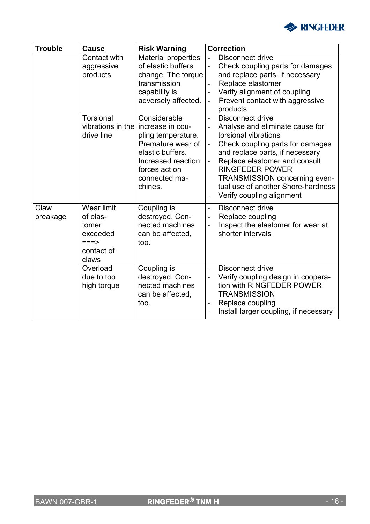

| <b>Trouble</b>   | <b>Cause</b>                                                                        | <b>Risk Warning</b>                                                                                                                                                                  |                          | <b>Correction</b>                                                                                                                                                                                                                                                                                                               |
|------------------|-------------------------------------------------------------------------------------|--------------------------------------------------------------------------------------------------------------------------------------------------------------------------------------|--------------------------|---------------------------------------------------------------------------------------------------------------------------------------------------------------------------------------------------------------------------------------------------------------------------------------------------------------------------------|
|                  | Contact with<br>aggressive<br>products                                              | Material properties<br>of elastic buffers<br>change. The torque<br>transmission<br>capability is<br>adversely affected.                                                              |                          | Disconnect drive<br>Check coupling parts for damages<br>and replace parts, if necessary<br>Replace elastomer<br>Verify alignment of coupling<br>Prevent contact with aggressive<br>products                                                                                                                                     |
|                  | Torsional<br>drive line                                                             | Considerable<br>vibrations in the increase in cou-<br>pling temperature.<br>Premature wear of<br>elastic buffers.<br>Increased reaction<br>forces act on<br>connected ma-<br>chines. |                          | <b>Disconnect drive</b><br>Analyse and eliminate cause for<br>torsional vibrations<br>Check coupling parts for damages<br>and replace parts, if necessary<br>Replace elastomer and consult<br><b>RINGFEDER POWER</b><br><b>TRANSMISSION concerning even-</b><br>tual use of another Shore-hardness<br>Verify coupling alignment |
| Claw<br>breakage | <b>Wear limit</b><br>of elas-<br>tomer<br>exceeded<br>$==->$<br>contact of<br>claws | Coupling is<br>destroyed. Con-<br>nected machines<br>can be affected,<br>too.                                                                                                        | $\overline{a}$           | <b>Disconnect drive</b><br>Replace coupling<br>Inspect the elastomer for wear at<br>shorter intervals                                                                                                                                                                                                                           |
|                  | Overload<br>due to too<br>high torque                                               | Coupling is<br>destroyed. Con-<br>nected machines<br>can be affected,<br>too.                                                                                                        | $\overline{\phantom{a}}$ | Disconnect drive<br>Verify coupling design in coopera-<br>tion with RINGFEDER POWER<br><b>TRANSMISSION</b><br>Replace coupling<br>Install larger coupling, if necessary                                                                                                                                                         |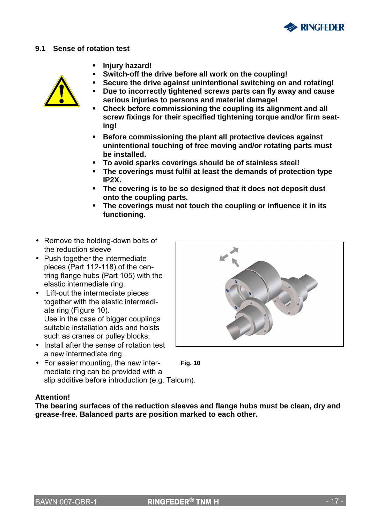

#### **9.1 Sense of rotation test**

- **Injury hazard!**
- **Switch-off the drive before all work on the coupling! Secure the drive against unintentional switching on and rotating!**



- **Due to incorrectly tightened screws parts can fly away and cause serious injuries to persons and material damage!**
- **Check before commissioning the coupling its alignment and all screw fixings for their specified tightening torque and/or firm seating!**
- **Before commissioning the plant all protective devices against unintentional touching of free moving and/or rotating parts must be installed.**
- **To avoid sparks coverings should be of stainless steel!**
- **The coverings must fulfil at least the demands of protection type IP2X.**
- **The covering is to be so designed that it does not deposit dust onto the coupling parts.**
- **The coverings must not touch the coupling or influence it in its functioning.**
- Remove the holding-down bolts of the reduction sleeve
- Push together the intermediate pieces (Part 112-118) of the centring flange hubs (Part 105) with the elastic intermediate ring.
- Lift-out the intermediate pieces together with the elastic intermediate ring (Figure 10). Use in the case of bigger couplings suitable installation aids and hoists such as cranes or pulley blocks.
- Install after the sense of rotation test a new intermediate ring.
- **Fig. 10**  • For easier mounting, the new intermediate ring can be provided with a slip additive before introduction (e.g. Talcum).



**Attention!** 

**The bearing surfaces of the reduction sleeves and flange hubs must be clean, dry and grease-free. Balanced parts are position marked to each other.**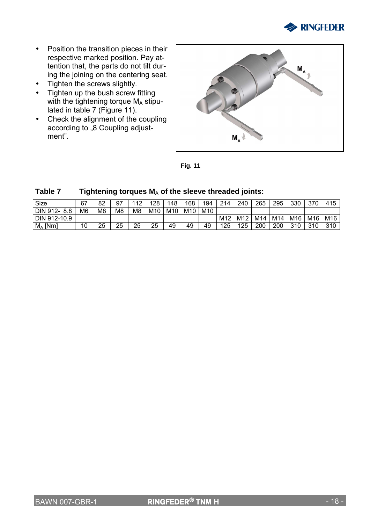

- Position the transition pieces in their respective marked position. Pay attention that, the parts do not tilt during the joining on the centering seat.
- Tighten the screws slightly.
- Tighten up the bush screw fitting with the tightening torque  $M_A$  stipulated in table 7 (Figure 11).
- Check the alignment of the coupling according to <sub>"8</sub> Coupling adjustment".



**Fig. 11** 

| Size          | 67 | 82             | 97             | 10 | 128 | 148 | 168 | 194             | 214 | 240             | 265 | 295 | 330 | 370 | 415 |
|---------------|----|----------------|----------------|----|-----|-----|-----|-----------------|-----|-----------------|-----|-----|-----|-----|-----|
| DIN 912-8.8   | M6 | M <sub>8</sub> | M <sub>8</sub> | M8 | M10 | M10 | M10 | M <sub>10</sub> |     |                 |     |     |     |     |     |
| DIN 912-10.9  |    |                |                |    |     |     |     |                 | M12 | M <sub>12</sub> | M14 | M14 | M16 | M16 | M16 |
| $M_A$<br>[Nm] | 10 | 25             | 25             | 25 | 25  | 49  | 49  | 49              | 125 | 125             | 200 | 200 | 310 | 310 | 310 |

#### Table 7 Tightening torques M<sub>A</sub> of the sleeve threaded joints: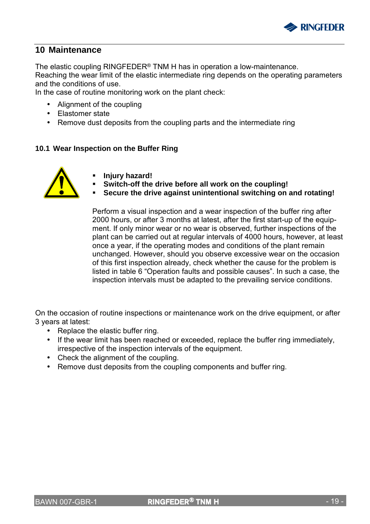

### **10 Maintenance**

The elastic coupling RINGFEDER® TNM H has in operation a low-maintenance.

Reaching the wear limit of the elastic intermediate ring depends on the operating parameters and the conditions of use.

In the case of routine monitoring work on the plant check:

- Alignment of the coupling
- Elastomer state
- Remove dust deposits from the coupling parts and the intermediate ring

#### **10.1 Wear Inspection on the Buffer Ring**



- **Injury hazard!**
- **Switch-off the drive before all work on the coupling!**
- **Secure the drive against unintentional switching on and rotating!**

Perform a visual inspection and a wear inspection of the buffer ring after 2000 hours, or after 3 months at latest, after the first start-up of the equipment. If only minor wear or no wear is observed, further inspections of the plant can be carried out at regular intervals of 4000 hours, however, at least once a year, if the operating modes and conditions of the plant remain unchanged. However, should you observe excessive wear on the occasion of this first inspection already, check whether the cause for the problem is listed in table 6 "Operation faults and possible causes". In such a case, the inspection intervals must be adapted to the prevailing service conditions.

On the occasion of routine inspections or maintenance work on the drive equipment, or after 3 years at latest:

- Replace the elastic buffer ring.
- If the wear limit has been reached or exceeded, replace the buffer ring immediately, irrespective of the inspection intervals of the equipment.
- Check the alignment of the coupling.
- Remove dust deposits from the coupling components and buffer ring.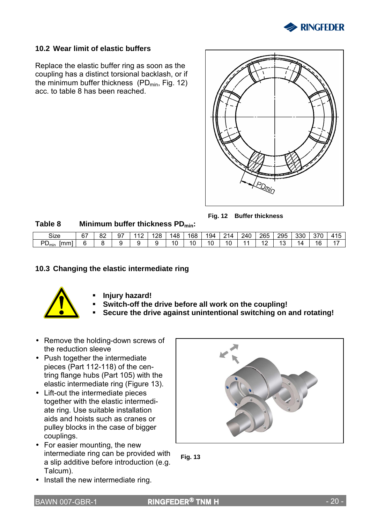

#### **10.2 Wear limit of elastic buffers**

Replace the elastic buffer ring as soon as the coupling has a distinct torsional backlash, or if the minimum buffer thickness ( $PD_{min}$ , Fig. 12) acc. to table 8 has been reached.



**Fig. 12 Buffer thickness Table 8 Minimum buffer thickness PDmin:** 

| Size                     | 67 | ററ<br>٥z | 97 | $\sqrt{2}$ | 128 | 148 | 168 | 194 | $^{\circ}$ 14 . | 240 | 265            | 295                 | 330 | 370 | 11 <sub>5</sub> |
|--------------------------|----|----------|----|------------|-----|-----|-----|-----|-----------------|-----|----------------|---------------------|-----|-----|-----------------|
| DГ<br>mml<br>$\nu_{min}$ | ີ  | . .      |    |            |     | 10  | 10  | 10  | 10              | л.  | $\overline{1}$ | $\overline{a}$<br>N | Λ   | 16  | 47<br>' '       |

#### **10.3 Changing the elastic intermediate ring**



- **Injury hazard!**
- **Switch-off the drive before all work on the coupling!**
- **Secure the drive against unintentional switching on and rotating!**
- Remove the holding-down screws of the reduction sleeve
- Push together the intermediate pieces (Part 112-118) of the centring flange hubs (Part 105) with the elastic intermediate ring (Figure 13).
- Lift-out the intermediate pieces together with the elastic intermediate ring. Use suitable installation aids and hoists such as cranes or pulley blocks in the case of bigger couplings.
- For easier mounting, the new intermediate ring can be provided with a slip additive before introduction (e.g. Talcum).
- Install the new intermediate ring.



**Fig. 13**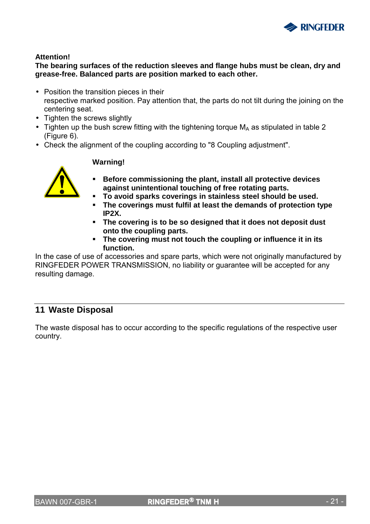

#### **Attention!**

**The bearing surfaces of the reduction sleeves and flange hubs must be clean, dry and grease-free. Balanced parts are position marked to each other.** 

- Position the transition pieces in their respective marked position. Pay attention that, the parts do not tilt during the joining on the centering seat.
- Tighten the screws slightly
- Tighten up the bush screw fitting with the tightening torque  $M_A$  as stipulated in table 2 (Figure 6).
- Check the alignment of the coupling according to "8 Coupling adjustment".



### **Warning!**

- **Before commissioning the plant, install all protective devices against unintentional touching of free rotating parts.**
- **To avoid sparks coverings in stainless steel should be used.**
- **The coverings must fulfil at least the demands of protection type IP2X.**
- **The covering is to be so designed that it does not deposit dust onto the coupling parts.**
- **The covering must not touch the coupling or influence it in its function.**

In the case of use of accessories and spare parts, which were not originally manufactured by RINGFEDER POWER TRANSMISSION, no liability or guarantee will be accepted for any resulting damage.

### **11 Waste Disposal**

The waste disposal has to occur according to the specific regulations of the respective user country.